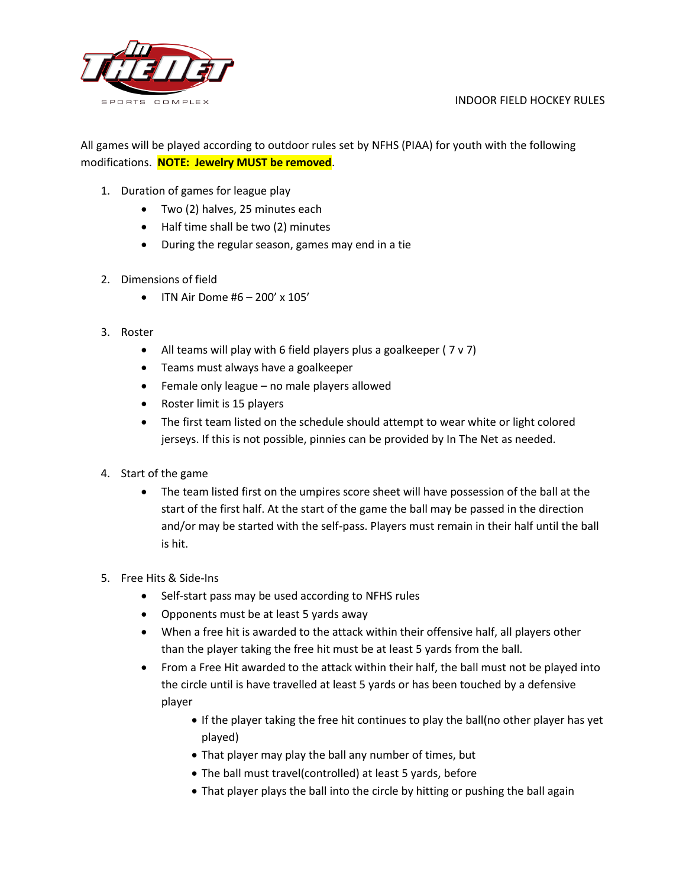#### INDOOR FIELD HOCKEY RULES



All games will be played according to outdoor rules set by NFHS (PIAA) for youth with the following modifications. **NOTE: Jewelry MUST be removed**.

- 1. Duration of games for league play
	- Two (2) halves, 25 minutes each
	- Half time shall be two (2) minutes
	- During the regular season, games may end in a tie
- 2. Dimensions of field
	- ITN Air Dome  $#6 200' \times 105'$
- 3. Roster
	- All teams will play with 6 field players plus a goalkeeper (7 v 7)
	- Teams must always have a goalkeeper
	- Female only league no male players allowed
	- Roster limit is 15 players
	- The first team listed on the schedule should attempt to wear white or light colored jerseys. If this is not possible, pinnies can be provided by In The Net as needed.
- 4. Start of the game
	- The team listed first on the umpires score sheet will have possession of the ball at the start of the first half. At the start of the game the ball may be passed in the direction and/or may be started with the self-pass. Players must remain in their half until the ball is hit.
- 5. Free Hits & Side-Ins
	- Self-start pass may be used according to NFHS rules
	- Opponents must be at least 5 yards away
	- When a free hit is awarded to the attack within their offensive half, all players other than the player taking the free hit must be at least 5 yards from the ball.
	- From a Free Hit awarded to the attack within their half, the ball must not be played into the circle until is have travelled at least 5 yards or has been touched by a defensive player
		- If the player taking the free hit continues to play the ball(no other player has yet played)
		- That player may play the ball any number of times, but
		- The ball must travel(controlled) at least 5 yards, before
		- That player plays the ball into the circle by hitting or pushing the ball again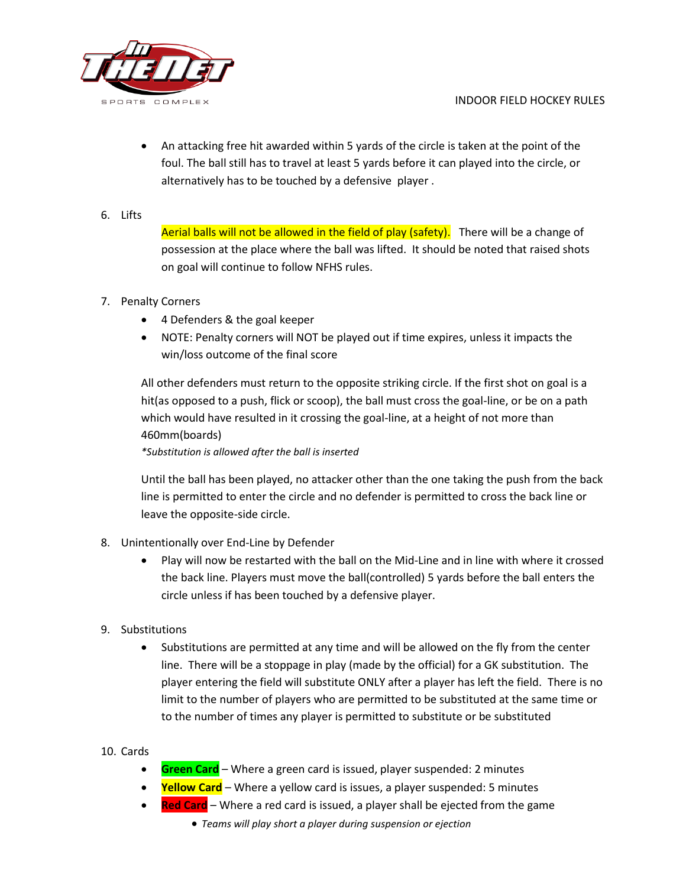

- An attacking free hit awarded within 5 yards of the circle is taken at the point of the foul. The ball still has to travel at least 5 yards before it can played into the circle, or alternatively has to be touched by a defensive player .
- 6. Lifts

Aerial balls will not be allowed in the field of play (safety). There will be a change of possession at the place where the ball was lifted. It should be noted that raised shots on goal will continue to follow NFHS rules.

- 7. Penalty Corners
	- 4 Defenders & the goal keeper
	- NOTE: Penalty corners will NOT be played out if time expires, unless it impacts the win/loss outcome of the final score

All other defenders must return to the opposite striking circle. If the first shot on goal is a hit(as opposed to a push, flick or scoop), the ball must cross the goal-line, or be on a path which would have resulted in it crossing the goal-line, at a height of not more than 460mm(boards)

*\*Substitution is allowed after the ball is inserted*

Until the ball has been played, no attacker other than the one taking the push from the back line is permitted to enter the circle and no defender is permitted to cross the back line or leave the opposite-side circle.

- 8. Unintentionally over End-Line by Defender
	- Play will now be restarted with the ball on the Mid-Line and in line with where it crossed the back line. Players must move the ball(controlled) 5 yards before the ball enters the circle unless if has been touched by a defensive player.
- 9. Substitutions
	- Substitutions are permitted at any time and will be allowed on the fly from the center line. There will be a stoppage in play (made by the official) for a GK substitution. The player entering the field will substitute ONLY after a player has left the field. There is no limit to the number of players who are permitted to be substituted at the same time or to the number of times any player is permitted to substitute or be substituted

# 10. Cards

- **Green Card** Where a green card is issued, player suspended: 2 minutes
- **Yellow Card** Where a yellow card is issues, a player suspended: 5 minutes
- **Red Card** Where a red card is issued, a player shall be ejected from the game
	- *Teams will play short a player during suspension or ejection*